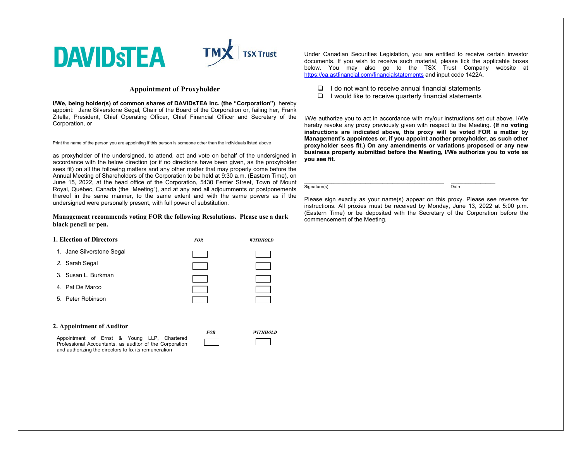

## **Appointment of Proxyholder**

**I/We, being holder(s) of common shares of DAVIDsTEA Inc. (the "Corporation")**, hereby appoint: Jane Silverstone Segal, Chair of the Board of the Corporation or, failing her, Frank Zitella, President, Chief Operating Officer, Chief Financial Officer and Secretary of the Corporation, or

\_\_\_\_\_\_\_\_\_\_\_\_\_\_\_\_\_\_\_\_\_\_\_\_\_\_\_\_\_\_\_\_\_\_\_\_\_\_\_\_\_\_\_\_\_\_\_\_\_\_\_\_\_\_\_\_\_\_\_\_\_\_\_\_\_\_\_\_\_\_\_\_\_\_ Print the name of the person you are appointing if this person is someone other than the individuals listed above

as proxyholder of the undersigned, to attend, act and vote on behalf of the undersigned in accordance with the below direction (or if no directions have been given, as the proxyholder sees fit) on all the following matters and any other matter that may properly come before the Annual Meeting of Shareholders of the Corporation to be held at 9:30 a.m. (Eastern Time), on June 15, 2022, at the head office of the Corporation, 5430 Ferrier Street, Town of Mount Royal, Québec, Canada (the "Meeting"), and at any and all adjournments or postponements thereof in the same manner, to the same extent and with the same powers as if the undersigned were personally present, with full power of substitution.

### **Management recommends voting FOR the following Resolutions. Please use a dark black pencil or pen.**

| 1. Election of Directors                                                                               | <b>FOR</b> | <b>WITHHOLD</b> |
|--------------------------------------------------------------------------------------------------------|------------|-----------------|
| 1. Jane Silverstone Segal                                                                              |            |                 |
| 2. Sarah Segal                                                                                         |            |                 |
| 3. Susan L. Burkman                                                                                    |            |                 |
| 4. Pat De Marco                                                                                        |            |                 |
| 5. Peter Robinson                                                                                      |            |                 |
|                                                                                                        |            |                 |
| 2. Appointment of Auditor                                                                              |            |                 |
| Appointment of Ernst & Young LLP, Chartered<br>Professional Accountants, as auditor of the Corporation | <b>FOR</b> | <b>WITHHOLD</b> |

and authorizing the directors to fix its remuneration

Under Canadian Securities Legislation, you are entitled to receive certain investor documents. If you wish to receive such material, please tick the applicable boxes below. You may also go to the TSX Trust Company website at https://ca.astfinancial.com/financialstatements and input code 1422A.

- $\Box$  I do not want to receive annual financial statements
- $\Box$  I would like to receive quarterly financial statements

I/We authorize you to act in accordance with my/our instructions set out above. I/We hereby revoke any proxy previously given with respect to the Meeting. **(If no voting instructions are indicated above, this proxy will be voted FOR a matter by Management's appointees or, if you appoint another proxyholder, as such other proxyholder sees fit.) On any amendments or variations proposed or any new business properly submitted before the Meeting, I/We authorize you to vote as you see fit.**

Signature(s) Date

 $\mathcal{L}_\text{max} = \frac{1}{2} \sum_{i=1}^{n} \frac{1}{2} \sum_{i=1}^{n} \frac{1}{2} \sum_{i=1}^{n} \frac{1}{2} \sum_{i=1}^{n} \frac{1}{2} \sum_{i=1}^{n} \frac{1}{2} \sum_{i=1}^{n} \frac{1}{2} \sum_{i=1}^{n} \frac{1}{2} \sum_{i=1}^{n} \frac{1}{2} \sum_{i=1}^{n} \frac{1}{2} \sum_{i=1}^{n} \frac{1}{2} \sum_{i=1}^{n} \frac{1}{2} \sum_{i=1}^{n} \frac{1$ 

Please sign exactly as your name(s) appear on this proxy. Please see reverse for instructions. All proxies must be received by Monday, June 13, 2022 at 5:00 p.m. (Eastern Time) or be deposited with the Secretary of the Corporation before the commencement of the Meeting.